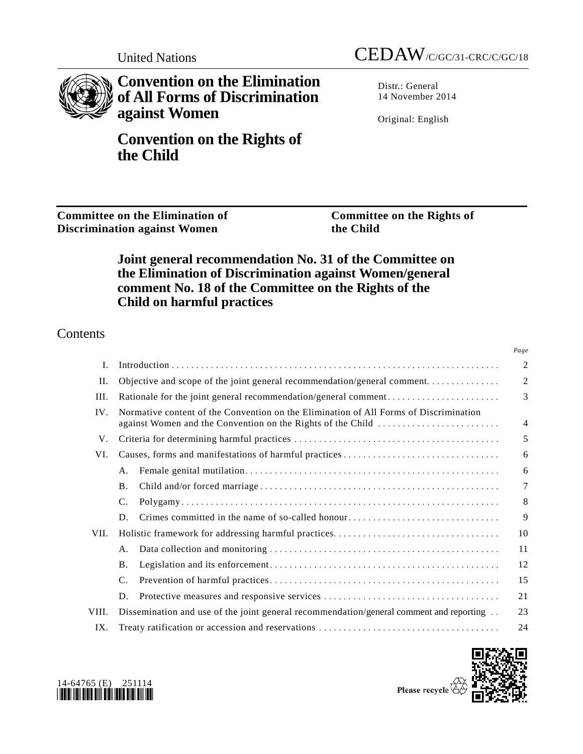

**Convention on the Elimination of All Forms of Discrimination against Women**

**Convention on the Rights of the Child**

Distr.: General 14 November 2014

Original: English

**Committee on the Elimination of Discrimination against Women**

**Committee on the Rights of the Child**

# **Joint general recommendation No. 31 of the Committee on the Elimination of Discrimination against Women/general comment No. 18 of the Committee on the Rights of the Child on harmful practices**

# **Contents**

|       |                                                                                                                                                      | Page           |
|-------|------------------------------------------------------------------------------------------------------------------------------------------------------|----------------|
| I.    |                                                                                                                                                      | $\overline{c}$ |
| II.   | Objective and scope of the joint general recommendation/general comment                                                                              | $\overline{2}$ |
| III.  | Rationale for the joint general recommendation/general comment                                                                                       | 3              |
| IV.   | Normative content of the Convention on the Elimination of All Forms of Discrimination<br>against Women and the Convention on the Rights of the Child | $\overline{4}$ |
| V.    |                                                                                                                                                      | 5              |
| VI.   |                                                                                                                                                      | 6              |
|       | A.                                                                                                                                                   | 6              |
|       | <b>B.</b>                                                                                                                                            | 7              |
|       | C.                                                                                                                                                   | 8              |
|       | Crimes committed in the name of so-called honour<br>D.                                                                                               | 9              |
| VII.  |                                                                                                                                                      | 10             |
|       | A.                                                                                                                                                   | 11             |
|       | <b>B.</b>                                                                                                                                            | 12             |
|       | C.                                                                                                                                                   | 15             |
|       | D.                                                                                                                                                   | 21             |
| VIII. | Dissemination and use of the joint general recommendation/general comment and reporting                                                              | 23             |
| IX.   |                                                                                                                                                      | 24             |



<span id="page-0-0"></span>

Please recycle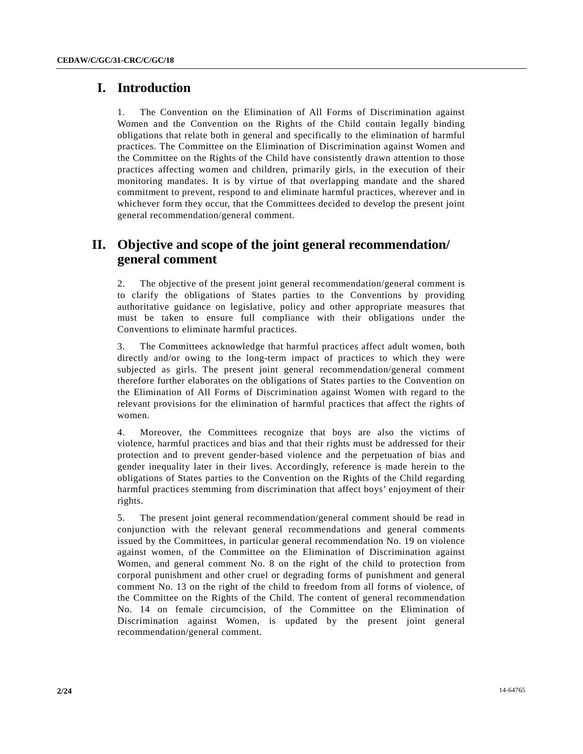### **I. Introduction**

1. The Convention on the Elimination of All Forms of Discrimination against Women and the Convention on the Rights of the Child contain legally binding obligations that relate both in general and specifically to the elimination of harmful practices. The Committee on the Elimination of Discrimination against Women and the Committee on the Rights of the Child have consistently drawn attention to those practices affecting women and children, primarily girls, in the execution of their monitoring mandates. It is by virtue of that overlapping mandate and the shared commitment to prevent, respond to and eliminate harmful practices, wherever and in whichever form they occur, that the Committees decided to develop the present joint general recommendation/general comment.

## **II. Objective and scope of the joint general recommendation/ general comment**

2. The objective of the present joint general recommendation/general comment is to clarify the obligations of States parties to the Conventions by providing authoritative guidance on legislative, policy and other appropriate measures that must be taken to ensure full compliance with their obligations under the Conventions to eliminate harmful practices.

3. The Committees acknowledge that harmful practices affect adult women, both directly and/or owing to the long-term impact of practices to which they were subjected as girls. The present joint general recommendation/general comment therefore further elaborates on the obligations of States parties to the Convention on the Elimination of All Forms of Discrimination against Women with regard to the relevant provisions for the elimination of harmful practices that affect the rights of women.

4. Moreover, the Committees recognize that boys are also the victims of violence, harmful practices and bias and that their rights must be addressed for their protection and to prevent gender-based violence and the perpetuation of bias and gender inequality later in their lives. Accordingly, reference is made herein to the obligations of States parties to the Convention on the Rights of the Child regarding harmful practices stemming from discrimination that affect boys' enjoyment of their rights.

5. The present joint general recommendation/general comment should be read in conjunction with the relevant general recommendations and general comments issued by the Committees, in particular general recommendation No. 19 on violence against women, of the Committee on the Elimination of Discrimination against Women, and general comment No. 8 on the right of the child to protection from corporal punishment and other cruel or degrading forms of punishment and general comment No. 13 on the right of the child to freedom from all forms of violence, of the Committee on the Rights of the Child. The content of general recommendation No. 14 on female circumcision, of the Committee on the Elimination of Discrimination against Women, is updated by the present joint general recommendation/general comment.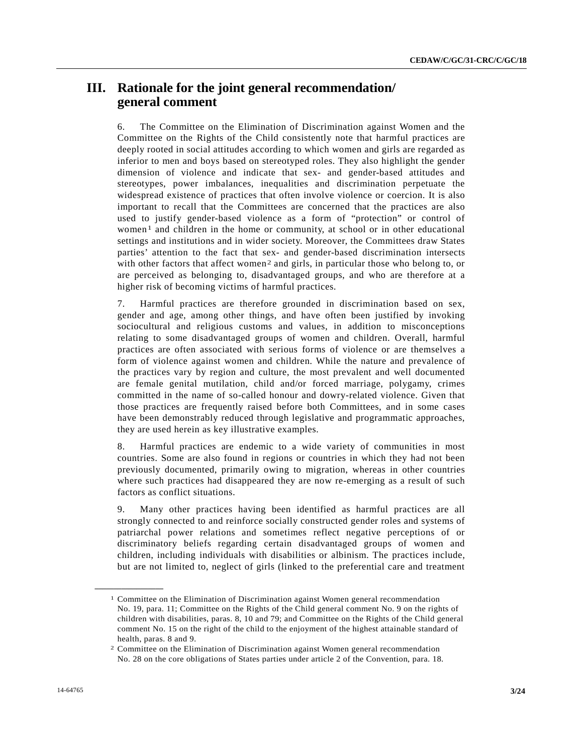## **III. Rationale for the joint general recommendation/ general comment**

6. The Committee on the Elimination of Discrimination against Women and the Committee on the Rights of the Child consistently note that harmful practices are deeply rooted in social attitudes according to which women and girls are regarded as inferior to men and boys based on stereotyped roles. They also highlight the gender dimension of violence and indicate that sex- and gender-based attitudes and stereotypes, power imbalances, inequalities and discrimination perpetuate the widespread existence of practices that often involve violence or coercion. It is also important to recall that the Committees are concerned that the practices are also used to justify gender-based violence as a form of "protection" or control of women<sup>[1](#page-0-0)</sup> and children in the home or community, at school or in other educational settings and institutions and in wider society. Moreover, the Committees draw States parties' attention to the fact that sex- and gender-based discrimination intersects with other factors that affect women<sup>[2](#page-2-0)</sup> and girls, in particular those who belong to, or are perceived as belonging to, disadvantaged groups, and who are therefore at a higher risk of becoming victims of harmful practices.

7. Harmful practices are therefore grounded in discrimination based on sex, gender and age, among other things, and have often been justified by invoking sociocultural and religious customs and values, in addition to misconceptions relating to some disadvantaged groups of women and children. Overall, harmful practices are often associated with serious forms of violence or are themselves a form of violence against women and children. While the nature and prevalence of the practices vary by region and culture, the most prevalent and well documented are female genital mutilation, child and/or forced marriage, polygamy, crimes committed in the name of so-called honour and dowry-related violence. Given that those practices are frequently raised before both Committees, and in some cases have been demonstrably reduced through legislative and programmatic approaches, they are used herein as key illustrative examples.

8. Harmful practices are endemic to a wide variety of communities in most countries. Some are also found in regions or countries in which they had not been previously documented, primarily owing to migration, whereas in other countries where such practices had disappeared they are now re-emerging as a result of such factors as conflict situations.

<span id="page-2-1"></span>9. Many other practices having been identified as harmful practices are all strongly connected to and reinforce socially constructed gender roles and systems of patriarchal power relations and sometimes reflect negative perceptions of or discriminatory beliefs regarding certain disadvantaged groups of women and children, including individuals with disabilities or albinism. The practices include, but are not limited to, neglect of girls (linked to the preferential care and treatment

<sup>1</sup> Committee on the Elimination of Discrimination against Women general recommendation No. 19, para. 11; Committee on the Rights of the Child general comment No. 9 on the rights of children with disabilities, paras. 8, 10 and 79; and Committee on the Rights of the Child general comment No. 15 on the right of the child to the enjoyment of the highest attainable standard of health, paras. 8 and 9.

<span id="page-2-0"></span><sup>2</sup> Committee on the Elimination of Discrimination against Women general recommendation No. 28 on the core obligations of States parties under article 2 of the Convention, para. 18.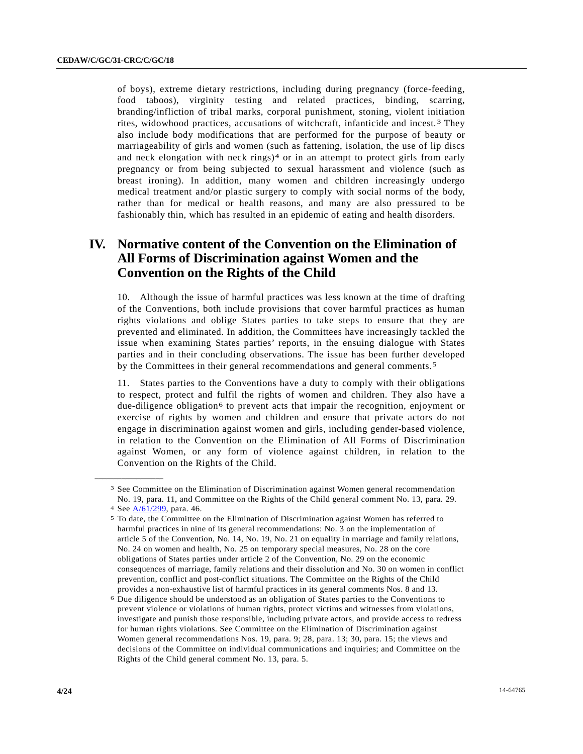of boys), extreme dietary restrictions, including during pregnancy (force-feeding, food taboos), virginity testing and related practices, binding, scarring, branding/infliction of tribal marks, corporal punishment, stoning, violent initiation rites, widowhood practices, accusations of witchcraft, infanticide and incest. [3](#page-2-1) They also include body modifications that are performed for the purpose of beauty or marriageability of girls and women (such as fattening, isolation, the use of lip discs and neck elongation with neck rings)<sup>[4](#page-3-0)</sup> or in an attempt to protect girls from early pregnancy or from being subjected to sexual harassment and violence (such as breast ironing). In addition, many women and children increasingly undergo medical treatment and/or plastic surgery to comply with social norms of the body, rather than for medical or health reasons, and many are also pressured to be fashionably thin, which has resulted in an epidemic of eating and health disorders.

# **IV. Normative content of the Convention on the Elimination of All Forms of Discrimination against Women and the Convention on the Rights of the Child**

10. Although the issue of harmful practices was less known at the time of drafting of the Conventions, both include provisions that cover harmful practices as human rights violations and oblige States parties to take steps to ensure that they are prevented and eliminated. In addition, the Committees have increasingly tackled the issue when examining States parties' reports, in the ensuing dialogue with States parties and in their concluding observations. The issue has been further developed by the Committees in their general recommendations and general comments. [5](#page-3-1)

11. States parties to the Conventions have a duty to comply with their obligations to respect, protect and fulfil the rights of women and children. They also have a due-diligence obligation<sup>[6](#page-3-2)</sup> to prevent acts that impair the recognition, enjoyment or exercise of rights by women and children and ensure that private actors do not engage in discrimination against women and girls, including gender-based violence, in relation to the Convention on the Elimination of All Forms of Discrimination against Women, or any form of violence against children, in relation to the Convention on the Rights of the Child.

<sup>3</sup> See Committee on the Elimination of Discrimination against Women general recommendation No. 19, para. 11, and Committee on the Rights of the Child general comment No. 13, para. 29.

<span id="page-3-0"></span><sup>4</sup> See [A/61/299,](http://undocs.org/A/61/299) para. 46.

<span id="page-3-1"></span><sup>5</sup> To date, the Committee on the Elimination of Discrimination against Women has referred to harmful practices in nine of its general recommendations: No. 3 on the implementation of article 5 of the Convention, No. 14, No. 19, No. 21 on equality in marriage and family relations, No. 24 on women and health, No. 25 on temporary special measures, No. 28 on the core obligations of States parties under article 2 of the Convention, No. 29 on the economic consequences of marriage, family relations and their dissolution and No. 30 on women in conflict prevention, conflict and post-conflict situations. The Committee on the Rights of the Child provides a non-exhaustive list of harmful practices in its general comments Nos. 8 and 13.

<span id="page-3-3"></span><span id="page-3-2"></span><sup>6</sup> Due diligence should be understood as an obligation of States parties to the Conventions to prevent violence or violations of human rights, protect victims and witnesses from violations, investigate and punish those responsible, including private actors, and provide access to redress for human rights violations. See Committee on the Elimination of Discrimination against Women general recommendations Nos. 19, para. 9; 28, para. 13; 30, para. 15; the views and decisions of the Committee on individual communications and inquiries; and Committee on the Rights of the Child general comment No. 13, para. 5.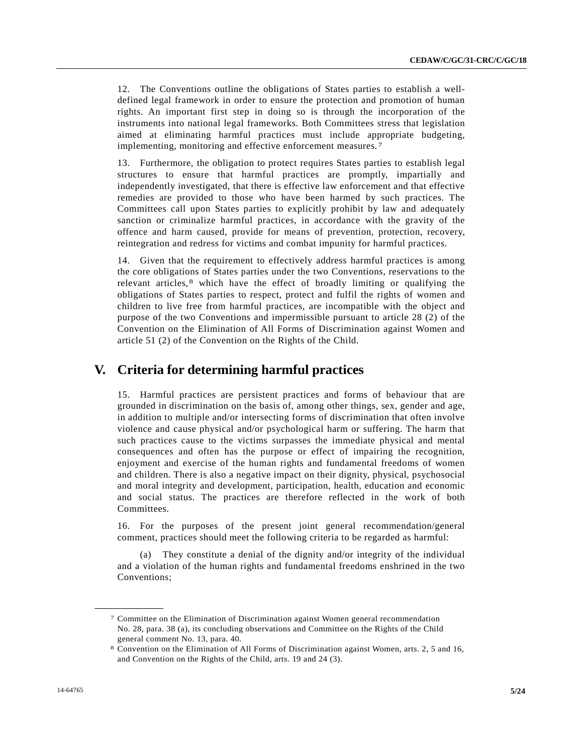12. The Conventions outline the obligations of States parties to establish a welldefined legal framework in order to ensure the protection and promotion of human rights. An important first step in doing so is through the incorporation of the instruments into national legal frameworks. Both Committees stress that legislation aimed at eliminating harmful practices must include appropriate budgeting, implementing, monitoring and effective enforcement measures. [7](#page-3-3)

13. Furthermore, the obligation to protect requires States parties to establish legal structures to ensure that harmful practices are promptly, impartially and independently investigated, that there is effective law enforcement and that effective remedies are provided to those who have been harmed by such practices. The Committees call upon States parties to explicitly prohibit by law and adequately sanction or criminalize harmful practices, in accordance with the gravity of the offence and harm caused, provide for means of prevention, protection, recovery, reintegration and redress for victims and combat impunity for harmful practices.

14. Given that the requirement to effectively address harmful practices is among the core obligations of States parties under the two Conventions, reservations to the relevant articles, [8](#page-4-0) which have the effect of broadly limiting or qualifying the obligations of States parties to respect, protect and fulfil the rights of women and children to live free from harmful practices, are incompatible with the object and purpose of the two Conventions and impermissible pursuant to article 28 (2) of the Convention on the Elimination of All Forms of Discrimination against Women and article 51 (2) of the Convention on the Rights of the Child.

### **V. Criteria for determining harmful practices**

15. Harmful practices are persistent practices and forms of behaviour that are grounded in discrimination on the basis of, among other things, sex, gender and age, in addition to multiple and/or intersecting forms of discrimination that often involve violence and cause physical and/or psychological harm or suffering. The harm that such practices cause to the victims surpasses the immediate physical and mental consequences and often has the purpose or effect of impairing the recognition, enjoyment and exercise of the human rights and fundamental freedoms of women and children. There is also a negative impact on their dignity, physical, psychosocial and moral integrity and development, participation, health, education and economic and social status. The practices are therefore reflected in the work of both Committees.

16. For the purposes of the present joint general recommendation/general comment, practices should meet the following criteria to be regarded as harmful:

(a) They constitute a denial of the dignity and/or integrity of the individual and a violation of the human rights and fundamental freedoms enshrined in the two Conventions;

<sup>7</sup> Committee on the Elimination of Discrimination against Women general recommendation No. 28, para. 38 (a), its concluding observations and Committee on the Rights of the Child general comment No. 13, para. 40.

<span id="page-4-1"></span><span id="page-4-0"></span><sup>8</sup> Convention on the Elimination of All Forms of Discrimination against Women, arts. 2, 5 and 16, and Convention on the Rights of the Child, arts. 19 and 24 (3).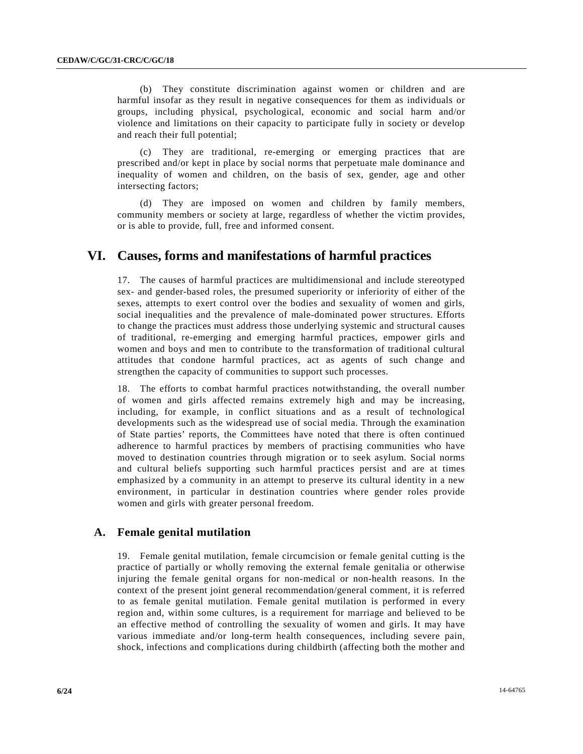(b) They constitute discrimination against women or children and are harmful insofar as they result in negative consequences for them as individuals or groups, including physical, psychological, economic and social harm and/or violence and limitations on their capacity to participate fully in society or develop and reach their full potential;

(c) They are traditional, re-emerging or emerging practices that are prescribed and/or kept in place by social norms that perpetuate male dominance and inequality of women and children, on the basis of sex, gender, age and other intersecting factors;

(d) They are imposed on women and children by family members, community members or society at large, regardless of whether the victim provides, or is able to provide, full, free and informed consent.

## **VI. Causes, forms and manifestations of harmful practices**

17. The causes of harmful practices are multidimensional and include stereotyped sex- and gender-based roles, the presumed superiority or inferiority of either of the sexes, attempts to exert control over the bodies and sexuality of women and girls, social inequalities and the prevalence of male-dominated power structures. Efforts to change the practices must address those underlying systemic and structural causes of traditional, re-emerging and emerging harmful practices, empower girls and women and boys and men to contribute to the transformation of traditional cultural attitudes that condone harmful practices, act as agents of such change and strengthen the capacity of communities to support such processes.

18. The efforts to combat harmful practices notwithstanding, the overall number of women and girls affected remains extremely high and may be increasing, including, for example, in conflict situations and as a result of technological developments such as the widespread use of social media. Through the examination of State parties' reports, the Committees have noted that there is often continued adherence to harmful practices by members of practising communities who have moved to destination countries through migration or to seek asylum. Social norms and cultural beliefs supporting such harmful practices persist and are at times emphasized by a community in an attempt to preserve its cultural identity in a new environment, in particular in destination countries where gender roles provide women and girls with greater personal freedom.

### **A. Female genital mutilation**

19. Female genital mutilation, female circumcision or female genital cutting is the practice of partially or wholly removing the external female genitalia or otherwise injuring the female genital organs for non-medical or non-health reasons. In the context of the present joint general recommendation/general comment, it is referred to as female genital mutilation. Female genital mutilation is performed in every region and, within some cultures, is a requirement for marriage and believed to be an effective method of controlling the sexuality of women and girls. It may have various immediate and/or long-term health consequences, including severe pain, shock, infections and complications during childbirth (affecting both the mother and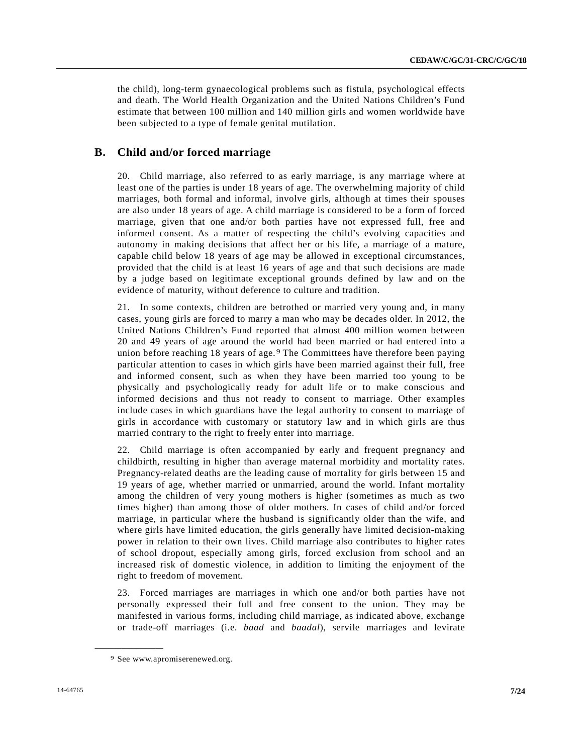the child), long-term gynaecological problems such as fistula, psychological effects and death. The World Health Organization and the United Nations Children's Fund estimate that between 100 million and 140 million girls and women worldwide have been subjected to a type of female genital mutilation.

### **B. Child and/or forced marriage**

20. Child marriage, also referred to as early marriage, is any marriage where at least one of the parties is under 18 years of age. The overwhelming majority of child marriages, both formal and informal, involve girls, although at times their spouses are also under 18 years of age. A child marriage is considered to be a form of forced marriage, given that one and/or both parties have not expressed full, free and informed consent. As a matter of respecting the child's evolving capacities and autonomy in making decisions that affect her or his life, a marriage of a mature, capable child below 18 years of age may be allowed in exceptional circumstances, provided that the child is at least 16 years of age and that such decisions are made by a judge based on legitimate exceptional grounds defined by law and on the evidence of maturity, without deference to culture and tradition.

21. In some contexts, children are betrothed or married very young and, in many cases, young girls are forced to marry a man who may be decades older. In 2012, the United Nations Children's Fund reported that almost 400 million women between 20 and 49 years of age around the world had been married or had entered into a union before reaching 18 years of age. [9](#page-4-1) The Committees have therefore been paying particular attention to cases in which girls have been married against their full, free and informed consent, such as when they have been married too young to be physically and psychologically ready for adult life or to make conscious and informed decisions and thus not ready to consent to marriage. Other examples include cases in which guardians have the legal authority to consent to marriage of girls in accordance with customary or statutory law and in which girls are thus married contrary to the right to freely enter into marriage.

22. Child marriage is often accompanied by early and frequent pregnancy and childbirth, resulting in higher than average maternal morbidity and mortality rates. Pregnancy-related deaths are the leading cause of mortality for girls between 15 and 19 years of age, whether married or unmarried, around the world. Infant mortality among the children of very young mothers is higher (sometimes as much as two times higher) than among those of older mothers. In cases of child and/or forced marriage, in particular where the husband is significantly older than the wife, and where girls have limited education, the girls generally have limited decision-making power in relation to their own lives. Child marriage also contributes to higher rates of school dropout, especially among girls, forced exclusion from school and an increased risk of domestic violence, in addition to limiting the enjoyment of the right to freedom of movement.

23. Forced marriages are marriages in which one and/or both parties have not personally expressed their full and free consent to the union. They may be manifested in various forms, including child marriage, as indicated above, exchange or trade-off marriages (i.e. *baad* and *baadal*), servile marriages and levirate

<span id="page-6-0"></span><sup>9</sup> See www.apromiserenewed.org.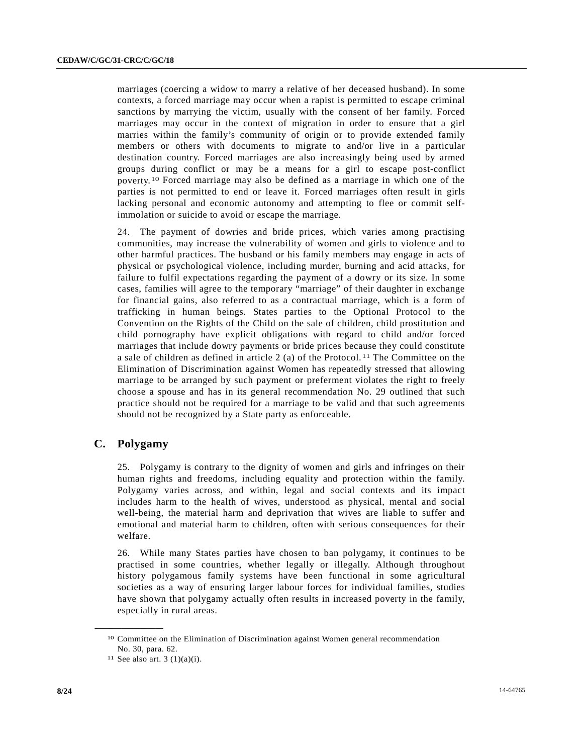marriages (coercing a widow to marry a relative of her deceased husband). In some contexts, a forced marriage may occur when a rapist is permitted to escape criminal sanctions by marrying the victim, usually with the consent of her family. Forced marriages may occur in the context of migration in order to ensure that a girl marries within the family's community of origin or to provide extended family members or others with documents to migrate to and/or live in a particular destination country. Forced marriages are also increasingly being used by armed groups during conflict or may be a means for a girl to escape post-conflict poverty. [10](#page-6-0) Forced marriage may also be defined as a marriage in which one of the parties is not permitted to end or leave it. Forced marriages often result in girls lacking personal and economic autonomy and attempting to flee or commit selfimmolation or suicide to avoid or escape the marriage.

24. The payment of dowries and bride prices, which varies among practising communities, may increase the vulnerability of women and girls to violence and to other harmful practices. The husband or his family members may engage in acts of physical or psychological violence, including murder, burning and acid attacks, for failure to fulfil expectations regarding the payment of a dowry or its size. In some cases, families will agree to the temporary "marriage" of their daughter in exchange for financial gains, also referred to as a contractual marriage, which is a form of trafficking in human beings. States parties to the Optional Protocol to the Convention on the Rights of the Child on the sale of children, child prostitution and child pornography have explicit obligations with regard to child and/or forced marriages that include dowry payments or bride prices because they could constitute a sale of children as defined in article 2 (a) of the Protocol. [11](#page-7-0) The Committee on the Elimination of Discrimination against Women has repeatedly stressed that allowing marriage to be arranged by such payment or preferment violates the right to freely choose a spouse and has in its general recommendation No. 29 outlined that such practice should not be required for a marriage to be valid and that such agreements should not be recognized by a State party as enforceable.

### **C. Polygamy**

25. Polygamy is contrary to the dignity of women and girls and infringes on their human rights and freedoms, including equality and protection within the family. Polygamy varies across, and within, legal and social contexts and its impact includes harm to the health of wives, understood as physical, mental and social well-being, the material harm and deprivation that wives are liable to suffer and emotional and material harm to children, often with serious consequences for their welfare.

26. While many States parties have chosen to ban polygamy, it continues to be practised in some countries, whether legally or illegally. Although throughout history polygamous family systems have been functional in some agricultural societies as a way of ensuring larger labour forces for individual families, studies have shown that polygamy actually often results in increased poverty in the family, especially in rural areas.

<span id="page-7-1"></span><span id="page-7-0"></span><sup>10</sup> Committee on the Elimination of Discrimination against Women general recommendation No. 30, para. 62.

<sup>&</sup>lt;sup>11</sup> See also art.  $3(1)(a)(i)$ .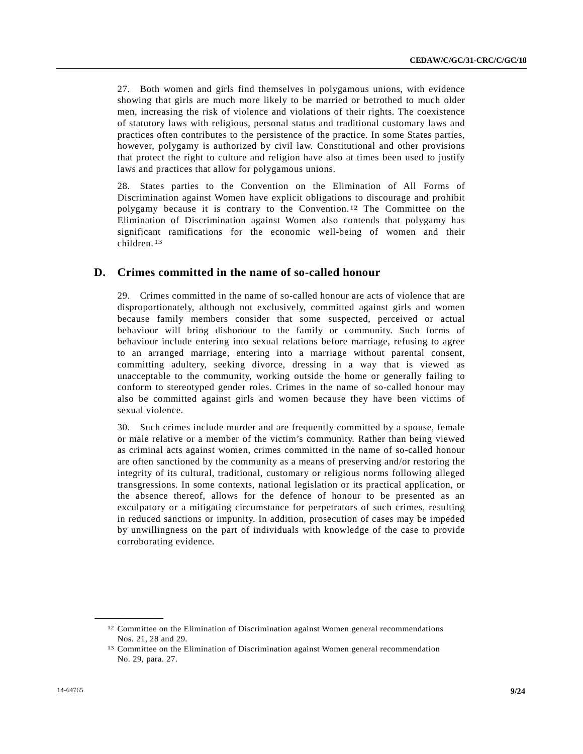27. Both women and girls find themselves in polygamous unions, with evidence showing that girls are much more likely to be married or betrothed to much older men, increasing the risk of violence and violations of their rights. The coexistence of statutory laws with religious, personal status and traditional customary laws and practices often contributes to the persistence of the practice. In some States parties, however, polygamy is authorized by civil law. Constitutional and other provisions that protect the right to culture and religion have also at times been used to justify laws and practices that allow for polygamous unions.

28. States parties to the Convention on the Elimination of All Forms of Discrimination against Women have explicit obligations to discourage and prohibit polygamy because it is contrary to the Convention.[12](#page-7-1) The Committee on the Elimination of Discrimination against Women also contends that polygamy has significant ramifications for the economic well-being of women and their children.[13](#page-8-0)

### **D. Crimes committed in the name of so-called honour**

29. Crimes committed in the name of so-called honour are acts of violence that are disproportionately, although not exclusively, committed against girls and women because family members consider that some suspected, perceived or actual behaviour will bring dishonour to the family or community. Such forms of behaviour include entering into sexual relations before marriage, refusing to agree to an arranged marriage, entering into a marriage without parental consent, committing adultery, seeking divorce, dressing in a way that is viewed as unacceptable to the community, working outside the home or generally failing to conform to stereotyped gender roles. Crimes in the name of so-called honour may also be committed against girls and women because they have been victims of sexual violence.

30. Such crimes include murder and are frequently committed by a spouse, female or male relative or a member of the victim's community. Rather than being viewed as criminal acts against women, crimes committed in the name of so-called honour are often sanctioned by the community as a means of preserving and/or restoring the integrity of its cultural, traditional, customary or religious norms following alleged transgressions. In some contexts, national legislation or its practical application, or the absence thereof, allows for the defence of honour to be presented as an exculpatory or a mitigating circumstance for perpetrators of such crimes, resulting in reduced sanctions or impunity. In addition, prosecution of cases may be impeded by unwillingness on the part of individuals with knowledge of the case to provide corroborating evidence.

<span id="page-8-1"></span><sup>&</sup>lt;sup>12</sup> Committee on the Elimination of Discrimination against Women general recommendations Nos. 21, 28 and 29.

<span id="page-8-0"></span><sup>13</sup> Committee on the Elimination of Discrimination against Women general recommendation No. 29, para. 27.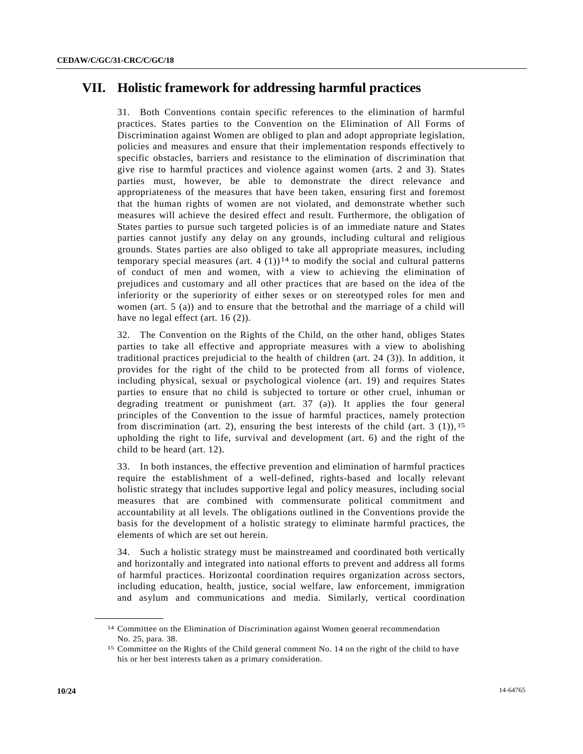## **VII. Holistic framework for addressing harmful practices**

31. Both Conventions contain specific references to the elimination of harmful practices. States parties to the Convention on the Elimination of All Forms of Discrimination against Women are obliged to plan and adopt appropriate legislation, policies and measures and ensure that their implementation responds effectively to specific obstacles, barriers and resistance to the elimination of discrimination that give rise to harmful practices and violence against women (arts. 2 and 3). States parties must, however, be able to demonstrate the direct relevance and appropriateness of the measures that have been taken, ensuring first and foremost that the human rights of women are not violated, and demonstrate whether such measures will achieve the desired effect and result. Furthermore, the obligation of States parties to pursue such targeted policies is of an immediate nature and States parties cannot justify any delay on any grounds, including cultural and religious grounds. States parties are also obliged to take all appropriate measures, including temporary special measures (art. 4  $(1)$ )<sup>[14](#page-8-1)</sup> to modify the social and cultural patterns of conduct of men and women, with a view to achieving the elimination of prejudices and customary and all other practices that are based on the idea of the inferiority or the superiority of either sexes or on stereotyped roles for men and women (art. 5 (a)) and to ensure that the betrothal and the marriage of a child will have no legal effect (art. 16 (2)).

32. The Convention on the Rights of the Child, on the other hand, obliges States parties to take all effective and appropriate measures with a view to abolishing traditional practices prejudicial to the health of children (art. 24 (3)). In addition, it provides for the right of the child to be protected from all forms of violence, including physical, sexual or psychological violence (art. 19) and requires States parties to ensure that no child is subjected to torture or other cruel, inhuman or degrading treatment or punishment (art. 37 (a)). It applies the four general principles of the Convention to the issue of harmful practices, namely protection from discrimination (art. 2), ensuring the best interests of the child (art. 3 (1)),  $15$ upholding the right to life, survival and development (art. 6) and the right of the child to be heard (art. 12).

33. In both instances, the effective prevention and elimination of harmful practices require the establishment of a well-defined, rights-based and locally relevant holistic strategy that includes supportive legal and policy measures, including social measures that are combined with commensurate political commitment and accountability at all levels. The obligations outlined in the Conventions provide the basis for the development of a holistic strategy to eliminate harmful practices, the elements of which are set out herein.

34. Such a holistic strategy must be mainstreamed and coordinated both vertically and horizontally and integrated into national efforts to prevent and address all forms of harmful practices. Horizontal coordination requires organization across sectors, including education, health, justice, social welfare, law enforcement, immigration and asylum and communications and media. Similarly, vertical coordination

<span id="page-9-0"></span><sup>14</sup> Committee on the Elimination of Discrimination against Women general recommendation No. 25, para. 38.

<sup>15</sup> Committee on the Rights of the Child general comment No. 14 on the right of the child to have his or her best interests taken as a primary consideration.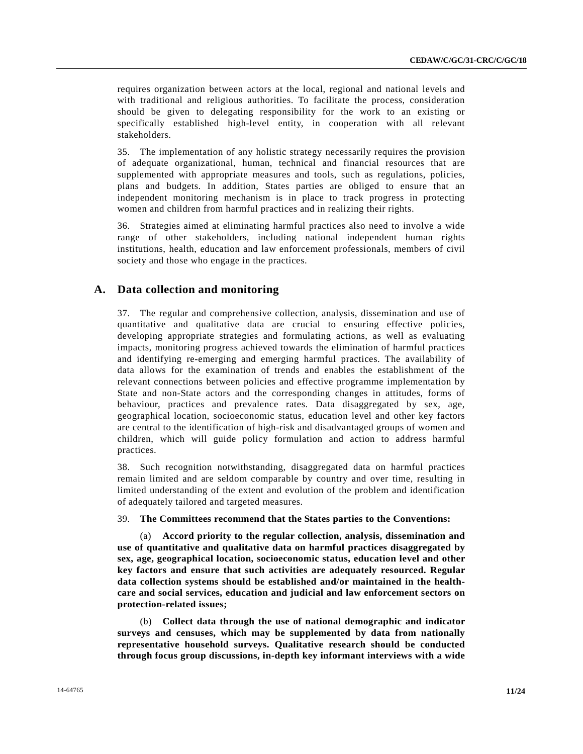requires organization between actors at the local, regional and national levels and with traditional and religious authorities. To facilitate the process, consideration should be given to delegating responsibility for the work to an existing or specifically established high-level entity, in cooperation with all relevant stakeholders.

35. The implementation of any holistic strategy necessarily requires the provision of adequate organizational, human, technical and financial resources that are supplemented with appropriate measures and tools, such as regulations, policies, plans and budgets. In addition, States parties are obliged to ensure that an independent monitoring mechanism is in place to track progress in protecting women and children from harmful practices and in realizing their rights.

36. Strategies aimed at eliminating harmful practices also need to involve a wide range of other stakeholders, including national independent human rights institutions, health, education and law enforcement professionals, members of civil society and those who engage in the practices.

### **A. Data collection and monitoring**

37. The regular and comprehensive collection, analysis, dissemination and use of quantitative and qualitative data are crucial to ensuring effective policies, developing appropriate strategies and formulating actions, as well as evaluating impacts, monitoring progress achieved towards the elimination of harmful practices and identifying re-emerging and emerging harmful practices. The availability of data allows for the examination of trends and enables the establishment of the relevant connections between policies and effective programme implementation by State and non-State actors and the corresponding changes in attitudes, forms of behaviour, practices and prevalence rates. Data disaggregated by sex, age, geographical location, socioeconomic status, education level and other key factors are central to the identification of high-risk and disadvantaged groups of women and children, which will guide policy formulation and action to address harmful practices.

38. Such recognition notwithstanding, disaggregated data on harmful practices remain limited and are seldom comparable by country and over time, resulting in limited understanding of the extent and evolution of the problem and identification of adequately tailored and targeted measures.

#### 39. **The Committees recommend that the States parties to the Conventions:**

(a) **Accord priority to the regular collection, analysis, dissemination and use of quantitative and qualitative data on harmful practices disaggregated by sex, age, geographical location, socioeconomic status, education level and other key factors and ensure that such activities are adequately resourced. Regular data collection systems should be established and/or maintained in the healthcare and social services, education and judicial and law enforcement sectors on protection-related issues;** 

(b) **Collect data through the use of national demographic and indicator surveys and censuses, which may be supplemented by data from nationally representative household surveys. Qualitative research should be conducted through focus group discussions, in-depth key informant interviews with a wide**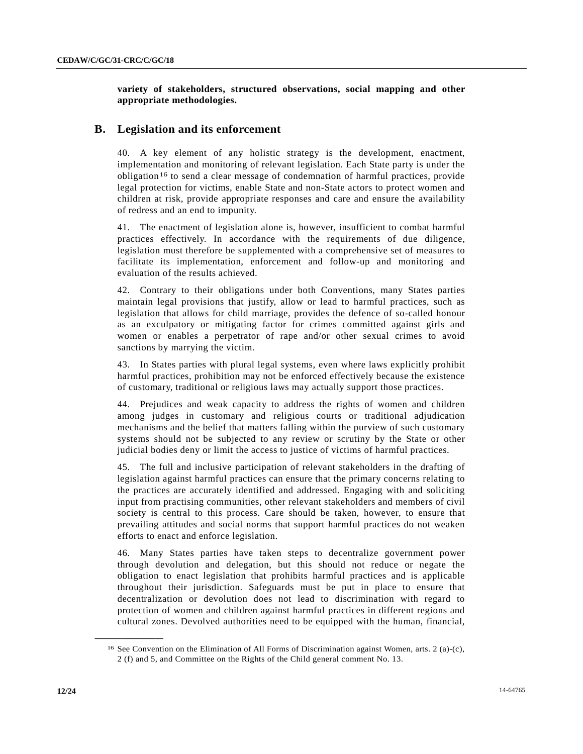**variety of stakeholders, structured observations, social mapping and other appropriate methodologies.**

### **B. Legislation and its enforcement**

40. A key element of any holistic strategy is the development, enactment, implementation and monitoring of relevant legislation. Each State party is under the obligation[16](#page-9-0) to send a clear message of condemnation of harmful practices, provide legal protection for victims, enable State and non-State actors to protect women and children at risk, provide appropriate responses and care and ensure the availability of redress and an end to impunity.

41. The enactment of legislation alone is, however, insufficient to combat harmful practices effectively. In accordance with the requirements of due diligence, legislation must therefore be supplemented with a comprehensive set of measures to facilitate its implementation, enforcement and follow-up and monitoring and evaluation of the results achieved.

42. Contrary to their obligations under both Conventions, many States parties maintain legal provisions that justify, allow or lead to harmful practices, such as legislation that allows for child marriage, provides the defence of so-called honour as an exculpatory or mitigating factor for crimes committed against girls and women or enables a perpetrator of rape and/or other sexual crimes to avoid sanctions by marrying the victim.

43. In States parties with plural legal systems, even where laws explicitly prohibit harmful practices, prohibition may not be enforced effectively because the existence of customary, traditional or religious laws may actually support those practices.

44. Prejudices and weak capacity to address the rights of women and children among judges in customary and religious courts or traditional adjudication mechanisms and the belief that matters falling within the purview of such customary systems should not be subjected to any review or scrutiny by the State or other judicial bodies deny or limit the access to justice of victims of harmful practices.

45. The full and inclusive participation of relevant stakeholders in the drafting of legislation against harmful practices can ensure that the primary concerns relating to the practices are accurately identified and addressed. Engaging with and soliciting input from practising communities, other relevant stakeholders and members of civil society is central to this process. Care should be taken, however, to ensure that prevailing attitudes and social norms that support harmful practices do not weaken efforts to enact and enforce legislation.

46. Many States parties have taken steps to decentralize government power through devolution and delegation, but this should not reduce or negate the obligation to enact legislation that prohibits harmful practices and is applicable throughout their jurisdiction. Safeguards must be put in place to ensure that decentralization or devolution does not lead to discrimination with regard to protection of women and children against harmful practices in different regions and cultural zones. Devolved authorities need to be equipped with the human, financial,

<sup>16</sup> See Convention on the Elimination of All Forms of Discrimination against Women, arts. 2 (a)-(c), 2 (f) and 5, and Committee on the Rights of the Child general comment No. 13.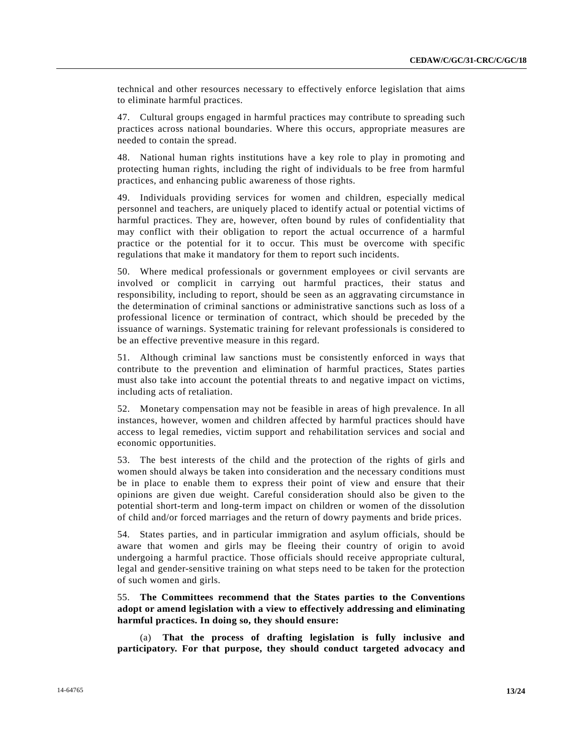technical and other resources necessary to effectively enforce legislation that aims to eliminate harmful practices.

47. Cultural groups engaged in harmful practices may contribute to spreading such practices across national boundaries. Where this occurs, appropriate measures are needed to contain the spread.

48. National human rights institutions have a key role to play in promoting and protecting human rights, including the right of individuals to be free from harmful practices, and enhancing public awareness of those rights.

49. Individuals providing services for women and children, especially medical personnel and teachers, are uniquely placed to identify actual or potential victims of harmful practices. They are, however, often bound by rules of confidentiality that may conflict with their obligation to report the actual occurrence of a harmful practice or the potential for it to occur. This must be overcome with specific regulations that make it mandatory for them to report such incidents.

50. Where medical professionals or government employees or civil servants are involved or complicit in carrying out harmful practices, their status and responsibility, including to report, should be seen as an aggravating circumstance in the determination of criminal sanctions or administrative sanctions such as loss of a professional licence or termination of contract, which should be preceded by the issuance of warnings. Systematic training for relevant professionals is considered to be an effective preventive measure in this regard.

51. Although criminal law sanctions must be consistently enforced in ways that contribute to the prevention and elimination of harmful practices, States parties must also take into account the potential threats to and negative impact on victims, including acts of retaliation.

52. Monetary compensation may not be feasible in areas of high prevalence. In all instances, however, women and children affected by harmful practices should have access to legal remedies, victim support and rehabilitation services and social and economic opportunities.

53. The best interests of the child and the protection of the rights of girls and women should always be taken into consideration and the necessary conditions must be in place to enable them to express their point of view and ensure that their opinions are given due weight. Careful consideration should also be given to the potential short-term and long-term impact on children or women of the dissolution of child and/or forced marriages and the return of dowry payments and bride prices.

54. States parties, and in particular immigration and asylum officials, should be aware that women and girls may be fleeing their country of origin to avoid undergoing a harmful practice. Those officials should receive appropriate cultural, legal and gender-sensitive training on what steps need to be taken for the protection of such women and girls.

55. **The Committees recommend that the States parties to the Conventions adopt or amend legislation with a view to effectively addressing and eliminating harmful practices. In doing so, they should ensure:**

(a) **That the process of drafting legislation is fully inclusive and participatory. For that purpose, they should conduct targeted advocacy and**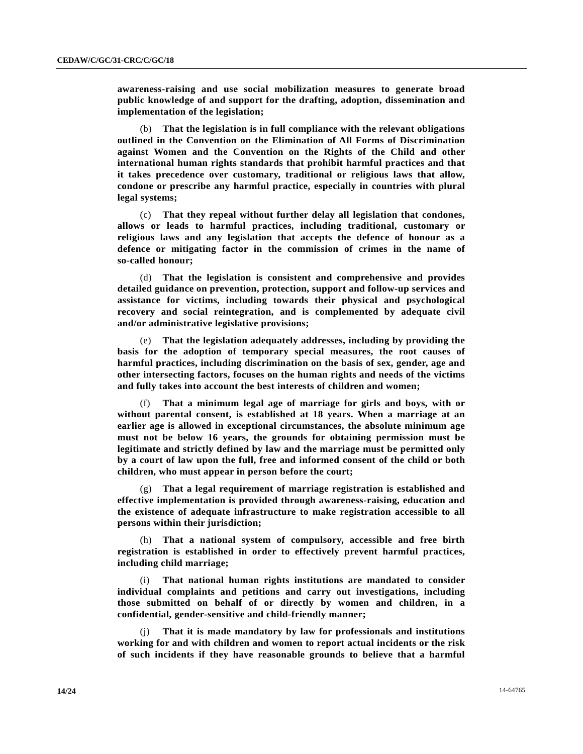**awareness-raising and use social mobilization measures to generate broad public knowledge of and support for the drafting, adoption, dissemination and implementation of the legislation;**

(b) **That the legislation is in full compliance with the relevant obligations outlined in the Convention on the Elimination of All Forms of Discrimination against Women and the Convention on the Rights of the Child and other international human rights standards that prohibit harmful practices and that it takes precedence over customary, traditional or religious laws that allow, condone or prescribe any harmful practice, especially in countries with plural legal systems;**

(c) **That they repeal without further delay all legislation that condones, allows or leads to harmful practices, including traditional, customary or religious laws and any legislation that accepts the defence of honour as a defence or mitigating factor in the commission of crimes in the name of so-called honour;**

(d) **That the legislation is consistent and comprehensive and provides detailed guidance on prevention, protection, support and follow-up services and assistance for victims, including towards their physical and psychological recovery and social reintegration, and is complemented by adequate civil and/or administrative legislative provisions;**

(e) **That the legislation adequately addresses, including by providing the basis for the adoption of temporary special measures, the root causes of harmful practices, including discrimination on the basis of sex, gender, age and other intersecting factors, focuses on the human rights and needs of the victims and fully takes into account the best interests of children and women;** 

(f) **That a minimum legal age of marriage for girls and boys, with or without parental consent, is established at 18 years. When a marriage at an earlier age is allowed in exceptional circumstances, the absolute minimum age must not be below 16 years, the grounds for obtaining permission must be legitimate and strictly defined by law and the marriage must be permitted only by a court of law upon the full, free and informed consent of the child or both children, who must appear in person before the court;** 

(g) **That a legal requirement of marriage registration is established and effective implementation is provided through awareness-raising, education and the existence of adequate infrastructure to make registration accessible to all persons within their jurisdiction;**

(h) **That a national system of compulsory, accessible and free birth registration is established in order to effectively prevent harmful practices, including child marriage;**

(i) **That national human rights institutions are mandated to consider individual complaints and petitions and carry out investigations, including those submitted on behalf of or directly by women and children, in a confidential, gender-sensitive and child-friendly manner;**

(j) **That it is made mandatory by law for professionals and institutions working for and with children and women to report actual incidents or the risk of such incidents if they have reasonable grounds to believe that a harmful**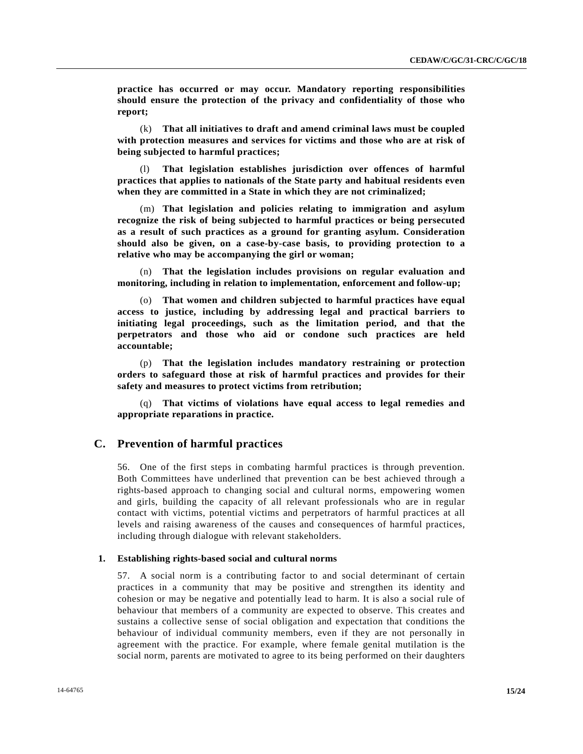**practice has occurred or may occur. Mandatory reporting responsibilities should ensure the protection of the privacy and confidentiality of those who report;** 

(k) **That all initiatives to draft and amend criminal laws must be coupled with protection measures and services for victims and those who are at risk of being subjected to harmful practices;**

(l) **That legislation establishes jurisdiction over offences of harmful practices that applies to nationals of the State party and habitual residents even when they are committed in a State in which they are not criminalized;**

(m) **That legislation and policies relating to immigration and asylum recognize the risk of being subjected to harmful practices or being persecuted as a result of such practices as a ground for granting asylum. Consideration should also be given, on a case-by-case basis, to providing protection to a relative who may be accompanying the girl or woman;**

(n) **That the legislation includes provisions on regular evaluation and monitoring, including in relation to implementation, enforcement and follow-up;**

(o) **That women and children subjected to harmful practices have equal access to justice, including by addressing legal and practical barriers to initiating legal proceedings, such as the limitation period, and that the perpetrators and those who aid or condone such practices are held accountable;**

(p) **That the legislation includes mandatory restraining or protection orders to safeguard those at risk of harmful practices and provides for their safety and measures to protect victims from retribution;**

(q) **That victims of violations have equal access to legal remedies and appropriate reparations in practice.**

#### **C. Prevention of harmful practices**

56. One of the first steps in combating harmful practices is through prevention. Both Committees have underlined that prevention can be best achieved through a rights-based approach to changing social and cultural norms, empowering women and girls, building the capacity of all relevant professionals who are in regular contact with victims, potential victims and perpetrators of harmful practices at all levels and raising awareness of the causes and consequences of harmful practices, including through dialogue with relevant stakeholders.

### **1. Establishing rights-based social and cultural norms**

57. A social norm is a contributing factor to and social determinant of certain practices in a community that may be positive and strengthen its identity and cohesion or may be negative and potentially lead to harm. It is also a social rule of behaviour that members of a community are expected to observe. This creates and sustains a collective sense of social obligation and expectation that conditions the behaviour of individual community members, even if they are not personally in agreement with the practice. For example, where female genital mutilation is the social norm, parents are motivated to agree to its being performed on their daughters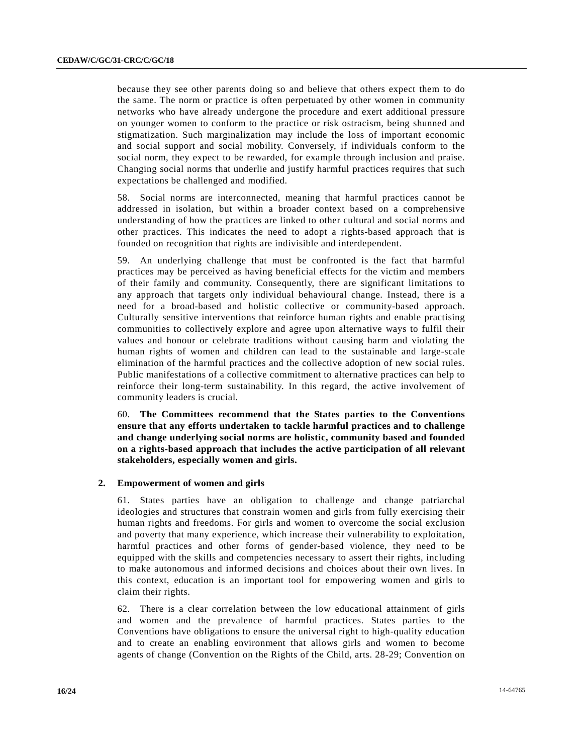because they see other parents doing so and believe that others expect them to do the same. The norm or practice is often perpetuated by other women in community networks who have already undergone the procedure and exert additional pressure on younger women to conform to the practice or risk ostracism, being shunned and stigmatization. Such marginalization may include the loss of important economic and social support and social mobility. Conversely, if individuals conform to the social norm, they expect to be rewarded, for example through inclusion and praise. Changing social norms that underlie and justify harmful practices requires that such expectations be challenged and modified.

58. Social norms are interconnected, meaning that harmful practices cannot be addressed in isolation, but within a broader context based on a comprehensive understanding of how the practices are linked to other cultural and social norms and other practices. This indicates the need to adopt a rights-based approach that is founded on recognition that rights are indivisible and interdependent.

59. An underlying challenge that must be confronted is the fact that harmful practices may be perceived as having beneficial effects for the victim and members of their family and community. Consequently, there are significant limitations to any approach that targets only individual behavioural change. Instead, there is a need for a broad-based and holistic collective or community-based approach. Culturally sensitive interventions that reinforce human rights and enable practising communities to collectively explore and agree upon alternative ways to fulfil their values and honour or celebrate traditions without causing harm and violating the human rights of women and children can lead to the sustainable and large-scale elimination of the harmful practices and the collective adoption of new social rules. Public manifestations of a collective commitment to alternative practices can help to reinforce their long-term sustainability. In this regard, the active involvement of community leaders is crucial.

60. **The Committees recommend that the States parties to the Conventions ensure that any efforts undertaken to tackle harmful practices and to challenge and change underlying social norms are holistic, community based and founded on a rights-based approach that includes the active participation of all relevant stakeholders, especially women and girls.**

#### **2. Empowerment of women and girls**

61. States parties have an obligation to challenge and change patriarchal ideologies and structures that constrain women and girls from fully exercising their human rights and freedoms. For girls and women to overcome the social exclusion and poverty that many experience, which increase their vulnerability to exploitation, harmful practices and other forms of gender-based violence, they need to be equipped with the skills and competencies necessary to assert their rights, including to make autonomous and informed decisions and choices about their own lives. In this context, education is an important tool for empowering women and girls to claim their rights.

62. There is a clear correlation between the low educational attainment of girls and women and the prevalence of harmful practices. States parties to the Conventions have obligations to ensure the universal right to high-quality education and to create an enabling environment that allows girls and women to become agents of change (Convention on the Rights of the Child, arts. 28-29; Convention on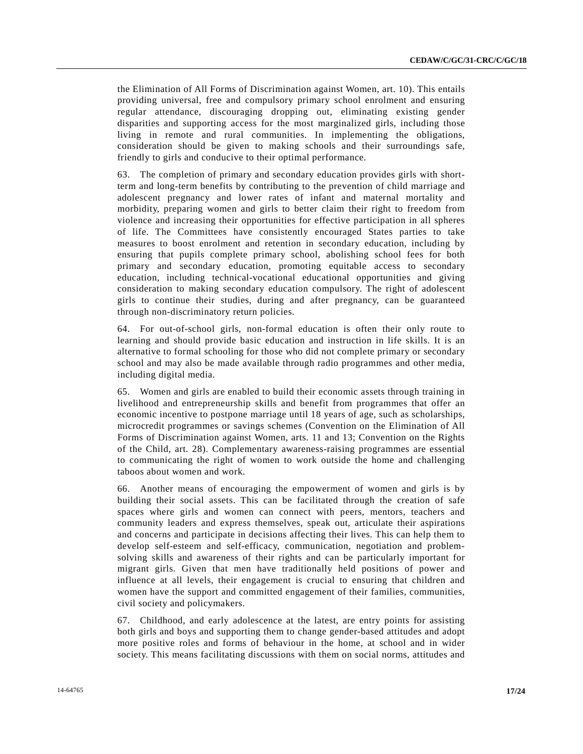the Elimination of All Forms of Discrimination against Women, art. 10). This entails providing universal, free and compulsory primary school enrolment and ensuring regular attendance, discouraging dropping out, eliminating existing gender disparities and supporting access for the most marginalized girls, including those living in remote and rural communities. In implementing the obligations, consideration should be given to making schools and their surroundings safe, friendly to girls and conducive to their optimal performance.

63. The completion of primary and secondary education provides girls with shortterm and long-term benefits by contributing to the prevention of child marriage and adolescent pregnancy and lower rates of infant and maternal mortality and morbidity, preparing women and girls to better claim their right to freedom from violence and increasing their opportunities for effective participation in all spheres of life. The Committees have consistently encouraged States parties to take measures to boost enrolment and retention in secondary education, including by ensuring that pupils complete primary school, abolishing school fees for both primary and secondary education, promoting equitable access to secondary education, including technical-vocational educational opportunities and giving consideration to making secondary education compulsory. The right of adolescent girls to continue their studies, during and after pregnancy, can be guaranteed through non-discriminatory return policies.

64. For out-of-school girls, non-formal education is often their only route to learning and should provide basic education and instruction in life skills. It is an alternative to formal schooling for those who did not complete primary or secondary school and may also be made available through radio programmes and other media, including digital media.

65. Women and girls are enabled to build their economic assets through training in livelihood and entrepreneurship skills and benefit from programmes that offer an economic incentive to postpone marriage until 18 years of age, such as scholarships, microcredit programmes or savings schemes (Convention on the Elimination of All Forms of Discrimination against Women, arts. 11 and 13; Convention on the Rights of the Child, art. 28). Complementary awareness-raising programmes are essential to communicating the right of women to work outside the home and challenging taboos about women and work.

66. Another means of encouraging the empowerment of women and girls is by building their social assets. This can be facilitated through the creation of safe spaces where girls and women can connect with peers, mentors, teachers and community leaders and express themselves, speak out, articulate their aspirations and concerns and participate in decisions affecting their lives. This can help them to develop self-esteem and self-efficacy, communication, negotiation and problemsolving skills and awareness of their rights and can be particularly important for migrant girls. Given that men have traditionally held positions of power and influence at all levels, their engagement is crucial to ensuring that children and women have the support and committed engagement of their families, communities, civil society and policymakers.

67. Childhood, and early adolescence at the latest, are entry points for assisting both girls and boys and supporting them to change gender-based attitudes and adopt more positive roles and forms of behaviour in the home, at school and in wider society. This means facilitating discussions with them on social norms, attitudes and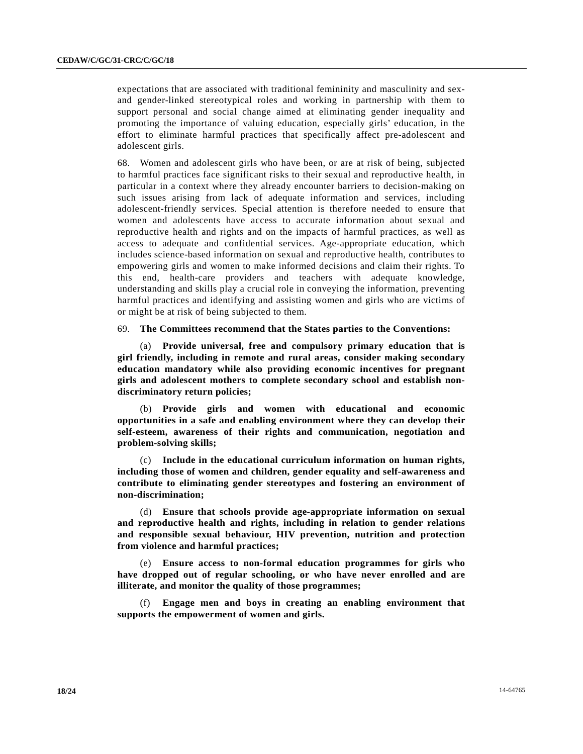expectations that are associated with traditional femininity and masculinity and sexand gender-linked stereotypical roles and working in partnership with them to support personal and social change aimed at eliminating gender inequality and promoting the importance of valuing education, especially girls' education, in the effort to eliminate harmful practices that specifically affect pre-adolescent and adolescent girls.

68. Women and adolescent girls who have been, or are at risk of being, subjected to harmful practices face significant risks to their sexual and reproductive health, in particular in a context where they already encounter barriers to decision-making on such issues arising from lack of adequate information and services, including adolescent-friendly services. Special attention is therefore needed to ensure that women and adolescents have access to accurate information about sexual and reproductive health and rights and on the impacts of harmful practices, as well as access to adequate and confidential services. Age-appropriate education, which includes science-based information on sexual and reproductive health, contributes to empowering girls and women to make informed decisions and claim their rights. To this end, health-care providers and teachers with adequate knowledge, understanding and skills play a crucial role in conveying the information, preventing harmful practices and identifying and assisting women and girls who are victims of or might be at risk of being subjected to them.

69. **The Committees recommend that the States parties to the Conventions:** 

(a) **Provide universal, free and compulsory primary education that is girl friendly, including in remote and rural areas, consider making secondary education mandatory while also providing economic incentives for pregnant girls and adolescent mothers to complete secondary school and establish nondiscriminatory return policies;**

(b) **Provide girls and women with educational and economic opportunities in a safe and enabling environment where they can develop their self-esteem, awareness of their rights and communication, negotiation and problem-solving skills;**

(c) **Include in the educational curriculum information on human rights, including those of women and children, gender equality and self-awareness and contribute to eliminating gender stereotypes and fostering an environment of non-discrimination;**

(d) **Ensure that schools provide age-appropriate information on sexual and reproductive health and rights, including in relation to gender relations and responsible sexual behaviour, HIV prevention, nutrition and protection from violence and harmful practices;**

(e) **Ensure access to non-formal education programmes for girls who have dropped out of regular schooling, or who have never enrolled and are illiterate, and monitor the quality of those programmes;**

(f) **Engage men and boys in creating an enabling environment that supports the empowerment of women and girls.**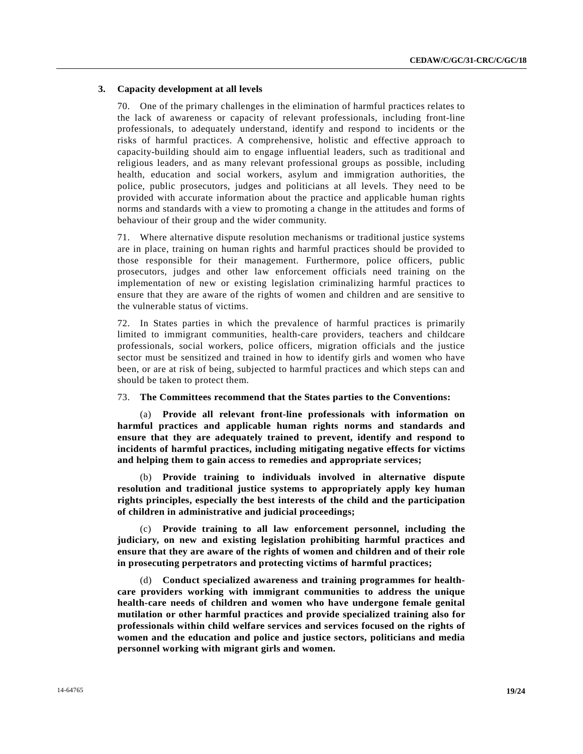#### **3. Capacity development at all levels**

70. One of the primary challenges in the elimination of harmful practices relates to the lack of awareness or capacity of relevant professionals, including front-line professionals, to adequately understand, identify and respond to incidents or the risks of harmful practices. A comprehensive, holistic and effective approach to capacity-building should aim to engage influential leaders, such as traditional and religious leaders, and as many relevant professional groups as possible, including health, education and social workers, asylum and immigration authorities, the police, public prosecutors, judges and politicians at all levels. They need to be provided with accurate information about the practice and applicable human rights norms and standards with a view to promoting a change in the attitudes and forms of behaviour of their group and the wider community.

71. Where alternative dispute resolution mechanisms or traditional justice systems are in place, training on human rights and harmful practices should be provided to those responsible for their management. Furthermore, police officers, public prosecutors, judges and other law enforcement officials need training on the implementation of new or existing legislation criminalizing harmful practices to ensure that they are aware of the rights of women and children and are sensitive to the vulnerable status of victims.

72. In States parties in which the prevalence of harmful practices is primarily limited to immigrant communities, health-care providers, teachers and childcare professionals, social workers, police officers, migration officials and the justice sector must be sensitized and trained in how to identify girls and women who have been, or are at risk of being, subjected to harmful practices and which steps can and should be taken to protect them.

#### 73. **The Committees recommend that the States parties to the Conventions:**

(a) **Provide all relevant front-line professionals with information on harmful practices and applicable human rights norms and standards and ensure that they are adequately trained to prevent, identify and respond to incidents of harmful practices, including mitigating negative effects for victims and helping them to gain access to remedies and appropriate services;**

(b) **Provide training to individuals involved in alternative dispute resolution and traditional justice systems to appropriately apply key human rights principles, especially the best interests of the child and the participation of children in administrative and judicial proceedings;**

(c) **Provide training to all law enforcement personnel, including the judiciary, on new and existing legislation prohibiting harmful practices and ensure that they are aware of the rights of women and children and of their role in prosecuting perpetrators and protecting victims of harmful practices;** 

(d) **Conduct specialized awareness and training programmes for healthcare providers working with immigrant communities to address the unique health-care needs of children and women who have undergone female genital mutilation or other harmful practices and provide specialized training also for professionals within child welfare services and services focused on the rights of women and the education and police and justice sectors, politicians and media personnel working with migrant girls and women.**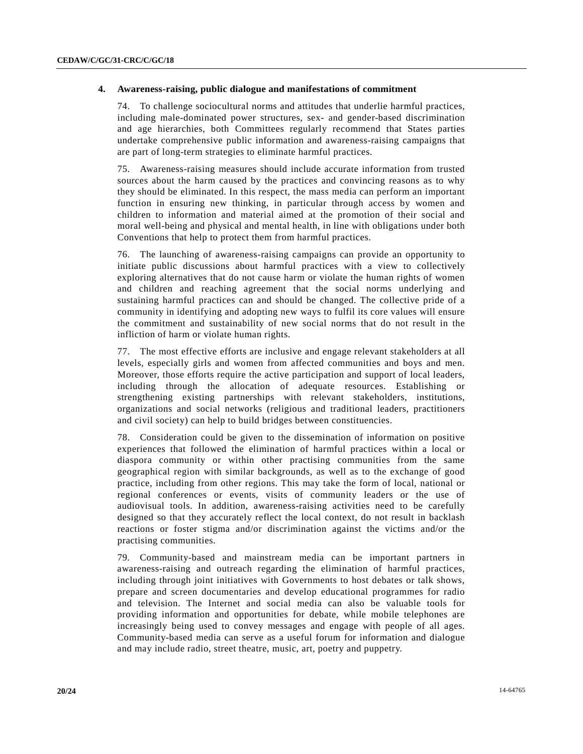#### **4. Awareness-raising, public dialogue and manifestations of commitment**

74. To challenge sociocultural norms and attitudes that underlie harmful practices, including male-dominated power structures, sex- and gender-based discrimination and age hierarchies, both Committees regularly recommend that States parties undertake comprehensive public information and awareness-raising campaigns that are part of long-term strategies to eliminate harmful practices.

75. Awareness-raising measures should include accurate information from trusted sources about the harm caused by the practices and convincing reasons as to why they should be eliminated. In this respect, the mass media can perform an important function in ensuring new thinking, in particular through access by women and children to information and material aimed at the promotion of their social and moral well-being and physical and mental health, in line with obligations under both Conventions that help to protect them from harmful practices.

76. The launching of awareness-raising campaigns can provide an opportunity to initiate public discussions about harmful practices with a view to collectively exploring alternatives that do not cause harm or violate the human rights of women and children and reaching agreement that the social norms underlying and sustaining harmful practices can and should be changed. The collective pride of a community in identifying and adopting new ways to fulfil its core values will ensure the commitment and sustainability of new social norms that do not result in the infliction of harm or violate human rights.

77. The most effective efforts are inclusive and engage relevant stakeholders at all levels, especially girls and women from affected communities and boys and men. Moreover, those efforts require the active participation and support of local leaders, including through the allocation of adequate resources. Establishing or strengthening existing partnerships with relevant stakeholders, institutions, organizations and social networks (religious and traditional leaders, practitioners and civil society) can help to build bridges between constituencies.

78. Consideration could be given to the dissemination of information on positive experiences that followed the elimination of harmful practices within a local or diaspora community or within other practising communities from the same geographical region with similar backgrounds, as well as to the exchange of good practice, including from other regions. This may take the form of local, national or regional conferences or events, visits of community leaders or the use of audiovisual tools. In addition, awareness-raising activities need to be carefully designed so that they accurately reflect the local context, do not result in backlash reactions or foster stigma and/or discrimination against the victims and/or the practising communities.

79. Community-based and mainstream media can be important partners in awareness-raising and outreach regarding the elimination of harmful practices, including through joint initiatives with Governments to host debates or talk shows, prepare and screen documentaries and develop educational programmes for radio and television. The Internet and social media can also be valuable tools for providing information and opportunities for debate, while mobile telephones are increasingly being used to convey messages and engage with people of all ages. Community-based media can serve as a useful forum for information and dialogue and may include radio, street theatre, music, art, poetry and puppetry.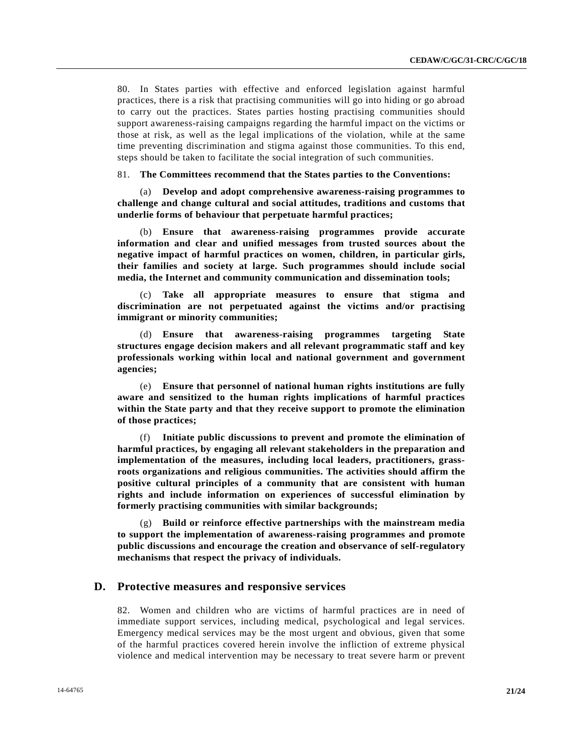80. In States parties with effective and enforced legislation against harmful practices, there is a risk that practising communities will go into hiding or go abroad to carry out the practices. States parties hosting practising communities should support awareness-raising campaigns regarding the harmful impact on the victims or those at risk, as well as the legal implications of the violation, while at the same time preventing discrimination and stigma against those communities. To this end, steps should be taken to facilitate the social integration of such communities.

81. **The Committees recommend that the States parties to the Conventions:**

(a) **Develop and adopt comprehensive awareness-raising programmes to challenge and change cultural and social attitudes, traditions and customs that underlie forms of behaviour that perpetuate harmful practices;**

(b) **Ensure that awareness-raising programmes provide accurate information and clear and unified messages from trusted sources about the negative impact of harmful practices on women, children, in particular girls, their families and society at large. Such programmes should include social media, the Internet and community communication and dissemination tools;** 

(c) **Take all appropriate measures to ensure that stigma and discrimination are not perpetuated against the victims and/or practising immigrant or minority communities;**

(d) **Ensure that awareness-raising programmes targeting State structures engage decision makers and all relevant programmatic staff and key professionals working within local and national government and government agencies;** 

(e) **Ensure that personnel of national human rights institutions are fully aware and sensitized to the human rights implications of harmful practices within the State party and that they receive support to promote the elimination of those practices;**

(f) **Initiate public discussions to prevent and promote the elimination of harmful practices, by engaging all relevant stakeholders in the preparation and implementation of the measures, including local leaders, practitioners, grassroots organizations and religious communities. The activities should affirm the positive cultural principles of a community that are consistent with human rights and include information on experiences of successful elimination by formerly practising communities with similar backgrounds;**

(g) **Build or reinforce effective partnerships with the mainstream media to support the implementation of awareness-raising programmes and promote public discussions and encourage the creation and observance of self-regulatory mechanisms that respect the privacy of individuals.**

#### **D. Protective measures and responsive services**

82. Women and children who are victims of harmful practices are in need of immediate support services, including medical, psychological and legal services. Emergency medical services may be the most urgent and obvious, given that some of the harmful practices covered herein involve the infliction of extreme physical violence and medical intervention may be necessary to treat severe harm or prevent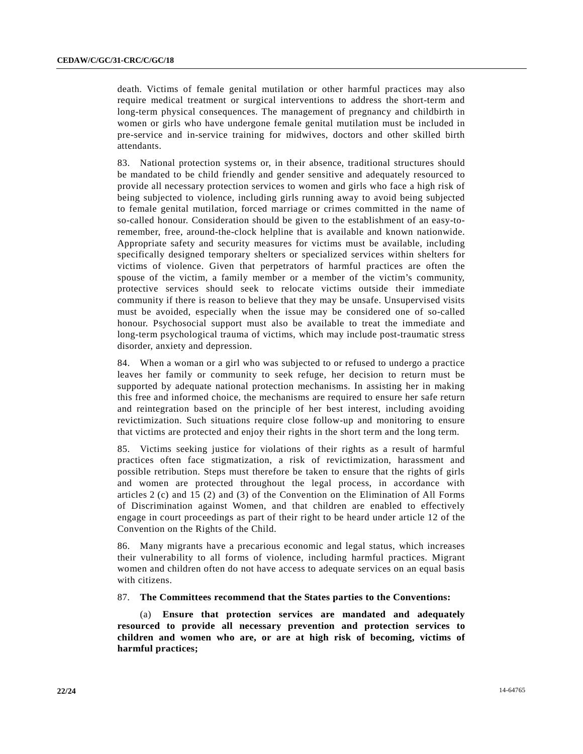death. Victims of female genital mutilation or other harmful practices may also require medical treatment or surgical interventions to address the short-term and long-term physical consequences. The management of pregnancy and childbirth in women or girls who have undergone female genital mutilation must be included in pre-service and in-service training for midwives, doctors and other skilled birth attendants.

83. National protection systems or, in their absence, traditional structures should be mandated to be child friendly and gender sensitive and adequately resourced to provide all necessary protection services to women and girls who face a high risk of being subjected to violence, including girls running away to avoid being subjected to female genital mutilation, forced marriage or crimes committed in the name of so-called honour. Consideration should be given to the establishment of an easy-toremember, free, around-the-clock helpline that is available and known nationwide. Appropriate safety and security measures for victims must be available, including specifically designed temporary shelters or specialized services within shelters for victims of violence. Given that perpetrators of harmful practices are often the spouse of the victim, a family member or a member of the victim's community, protective services should seek to relocate victims outside their immediate community if there is reason to believe that they may be unsafe. Unsupervised visits must be avoided, especially when the issue may be considered one of so-called honour. Psychosocial support must also be available to treat the immediate and long-term psychological trauma of victims, which may include post-traumatic stress disorder, anxiety and depression.

84. When a woman or a girl who was subjected to or refused to undergo a practice leaves her family or community to seek refuge, her decision to return must be supported by adequate national protection mechanisms. In assisting her in making this free and informed choice, the mechanisms are required to ensure her safe return and reintegration based on the principle of her best interest, including avoiding revictimization. Such situations require close follow-up and monitoring to ensure that victims are protected and enjoy their rights in the short term and the long term.

85. Victims seeking justice for violations of their rights as a result of harmful practices often face stigmatization, a risk of revictimization, harassment and possible retribution. Steps must therefore be taken to ensure that the rights of girls and women are protected throughout the legal process, in accordance with articles 2 (c) and 15 (2) and (3) of the Convention on the Elimination of All Forms of Discrimination against Women, and that children are enabled to effectively engage in court proceedings as part of their right to be heard under article 12 of the Convention on the Rights of the Child.

86. Many migrants have a precarious economic and legal status, which increases their vulnerability to all forms of violence, including harmful practices. Migrant women and children often do not have access to adequate services on an equal basis with citizens.

87. **The Committees recommend that the States parties to the Conventions:** 

(a) **Ensure that protection services are mandated and adequately resourced to provide all necessary prevention and protection services to children and women who are, or are at high risk of becoming, victims of harmful practices;**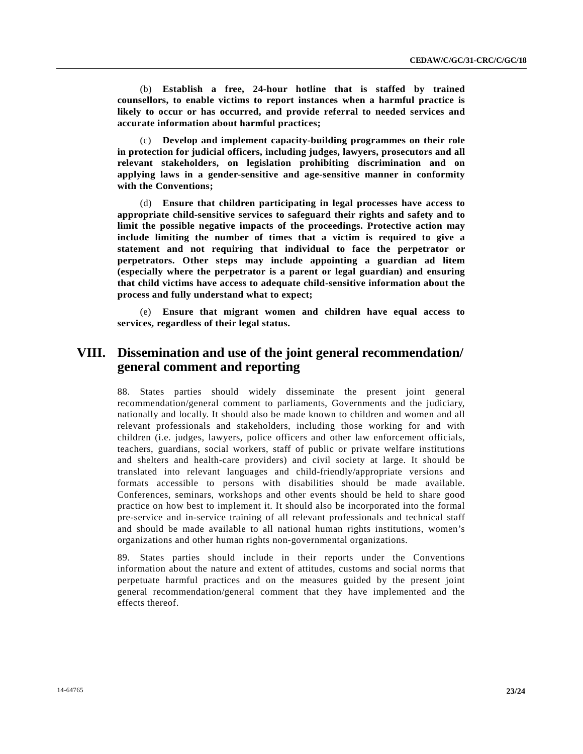(b) **Establish a free, 24-hour hotline that is staffed by trained counsellors, to enable victims to report instances when a harmful practice is likely to occur or has occurred, and provide referral to needed services and accurate information about harmful practices;**

(c) **Develop and implement capacity-building programmes on their role in protection for judicial officers, including judges, lawyers, prosecutors and all relevant stakeholders, on legislation prohibiting discrimination and on applying laws in a gender-sensitive and age-sensitive manner in conformity with the Conventions;**

(d) **Ensure that children participating in legal processes have access to appropriate child-sensitive services to safeguard their rights and safety and to limit the possible negative impacts of the proceedings. Protective action may include limiting the number of times that a victim is required to give a statement and not requiring that individual to face the perpetrator or perpetrators. Other steps may include appointing a guardian ad litem (especially where the perpetrator is a parent or legal guardian) and ensuring that child victims have access to adequate child-sensitive information about the process and fully understand what to expect;** 

(e) **Ensure that migrant women and children have equal access to services, regardless of their legal status.** 

## **VIII. Dissemination and use of the joint general recommendation/ general comment and reporting**

88. States parties should widely disseminate the present joint general recommendation/general comment to parliaments, Governments and the judiciary, nationally and locally. It should also be made known to children and women and all relevant professionals and stakeholders, including those working for and with children (i.e. judges, lawyers, police officers and other law enforcement officials, teachers, guardians, social workers, staff of public or private welfare institutions and shelters and health-care providers) and civil society at large. It should be translated into relevant languages and child-friendly/appropriate versions and formats accessible to persons with disabilities should be made available. Conferences, seminars, workshops and other events should be held to share good practice on how best to implement it. It should also be incorporated into the formal pre-service and in-service training of all relevant professionals and technical staff and should be made available to all national human rights institutions, women's organizations and other human rights non-governmental organizations.

89. States parties should include in their reports under the Conventions information about the nature and extent of attitudes, customs and social norms that perpetuate harmful practices and on the measures guided by the present joint general recommendation/general comment that they have implemented and the effects thereof.